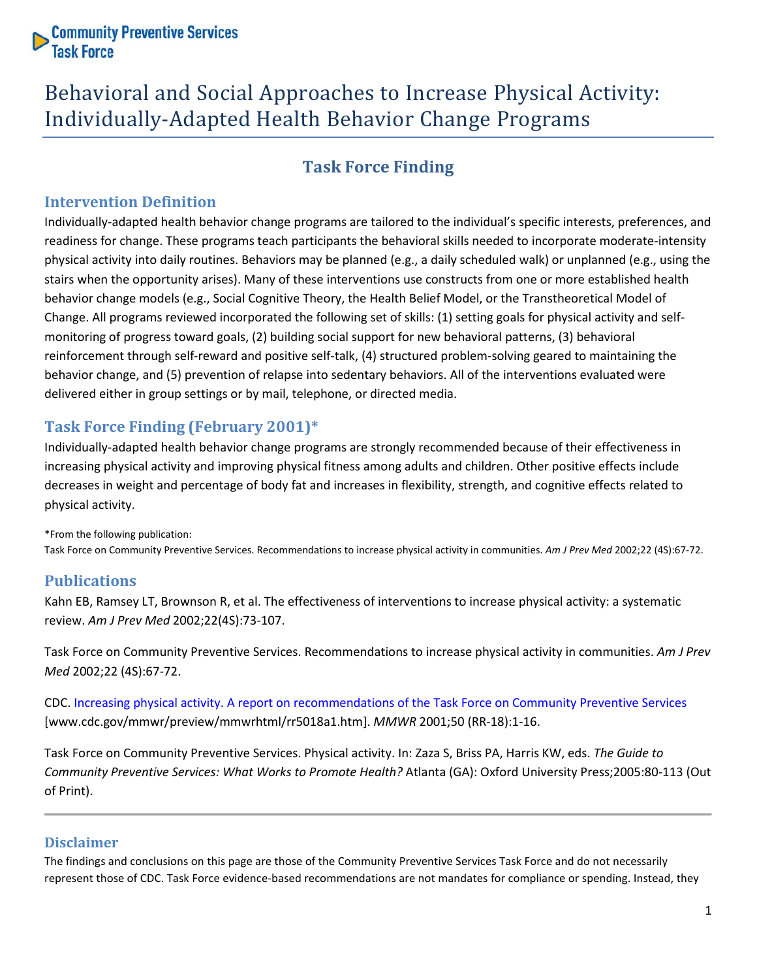**Community Preventive Services**<br>Task Force

# Behavioral and Social Approaches to Increase Physical Activity: Individually-Adapted Health Behavior Change Programs

# **Task Force Finding**

### **Intervention Definition**

Individually-adapted health behavior change programs are tailored to the individual's specific interests, preferences, and readiness for change. These programs teach participants the behavioral skills needed to incorporate moderate-intensity physical activity into daily routines. Behaviors may be planned (e.g., a daily scheduled walk) or unplanned (e.g., using the stairs when the opportunity arises). Many of these interventions use constructs from one or more established health behavior change models (e.g., Social Cognitive Theory, the Health Belief Model, or the Transtheoretical Model of Change. All programs reviewed incorporated the following set of skills: (1) setting goals for physical activity and selfmonitoring of progress toward goals, (2) building social support for new behavioral patterns, (3) behavioral reinforcement through self-reward and positive self-talk, (4) structured problem-solving geared to maintaining the behavior change, and (5) prevention of relapse into sedentary behaviors. All of the interventions evaluated were delivered either in group settings or by mail, telephone, or directed media.

## **Task Force Finding (February 2001)\***

Individually-adapted health behavior change programs are strongly recommended because of their effectiveness in increasing physical activity and improving physical fitness among adults and children. Other positive effects include decreases in weight and percentage of body fat and increases in flexibility, strength, and cognitive effects related to physical activity.

\*From the following publication: Task Force on Community Preventive Services. Recommendations to increase physical activity in communities. *Am J Prev Med* 2002;22 (4S):67-72.

#### **Publications**

Kahn EB, Ramsey LT, Brownson R, et al. The effectiveness of interventions to increase physical activity: a systematic review. *Am J Prev Med* 2002;22(4S):73-107.

Task Force on Community Preventive Services. Recommendations to increase physical activity in communities. *Am J Prev Med* 2002;22 (4S):67-72.

CDC. [Increasing physical activity. A report on recommendations of the Task Force on Community Preventive Services](http://www.cdc.gov/mmwr/preview/mmwrhtml/rr5018a1.htm) [www.cdc.gov/mmwr/preview/mmwrhtml/rr5018a1.htm]. *MMWR* 2001;50 (RR-18):1-16.

Task Force on Community Preventive Services. Physical activity. In: Zaza S, Briss PA, Harris KW, eds. *The Guide to Community Preventive Services: What Works to Promote Health?* Atlanta (GA): Oxford University Press;2005:80-113 (Out of Print).

#### **Disclaimer**

The findings and conclusions on this page are those of the Community Preventive Services Task Force and do not necessarily represent those of CDC. Task Force evidence-based recommendations are not mandates for compliance or spending. Instead, they